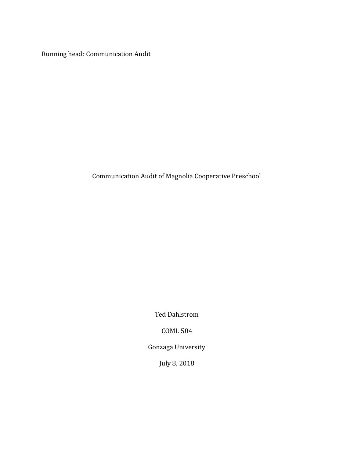Running head: Communication Audit

Communication Audit of Magnolia Cooperative Preschool

Ted Dahlstrom

COML 504

Gonzaga University

July 8, 2018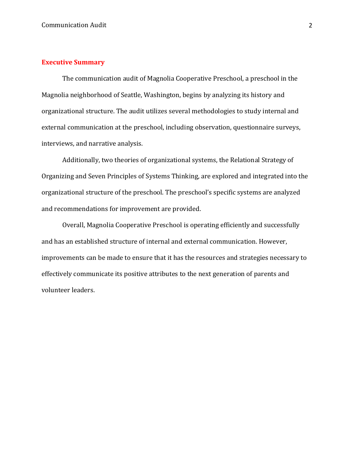# **Executive Summary**

The communication audit of Magnolia Cooperative Preschool, a preschool in the Magnolia neighborhood of Seattle, Washington, begins by analyzing its history and organizational structure. The audit utilizes several methodologies to study internal and external communication at the preschool, including observation, questionnaire surveys, interviews, and narrative analysis.

Additionally, two theories of organizational systems, the Relational Strategy of Organizing and Seven Principles of Systems Thinking, are explored and integrated into the organizational structure of the preschool. The preschool's specific systems are analyzed and recommendations for improvement are provided.

Overall, Magnolia Cooperative Preschool is operating efficiently and successfully and has an established structure of internal and external communication. However, improvements can be made to ensure that it has the resources and strategies necessary to effectively communicate its positive attributes to the next generation of parents and volunteer leaders.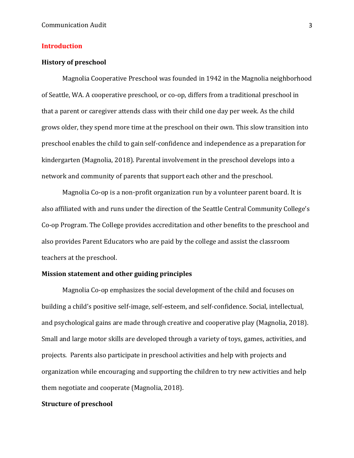# **Introduction**

### **History of preschool**

Magnolia Cooperative Preschool was founded in 1942 in the Magnolia neighborhood of Seattle, WA. A cooperative preschool, or co-op, differs from a traditional preschool in that a parent or caregiver attends class with their child one day per week. As the child grows older, they spend more time at the preschool on their own. This slow transition into preschool enables the child to gain self-confidence and independence as a preparation for kindergarten (Magnolia, 2018). Parental involvement in the preschool develops into a network and community of parents that support each other and the preschool.

Magnolia Co-op is a non-profit organization run by a volunteer parent board. It is also affiliated with and runs under the direction of the Seattle Central Community College's Co-op Program. The College provides accreditation and other benefits to the preschool and also provides Parent Educators who are paid by the college and assist the classroom teachers at the preschool.

### **Mission statement and other guiding principles**

Magnolia Co-op emphasizes the social development of the child and focuses on building a child's positive self-image, self-esteem, and self-confidence. Social, intellectual, and psychological gains are made through creative and cooperative play (Magnolia, 2018). Small and large motor skills are developed through a variety of toys, games, activities, and projects. Parents also participate in preschool activities and help with projects and organization while encouraging and supporting the children to try new activities and help them negotiate and cooperate (Magnolia, 2018).

# **Structure of preschool**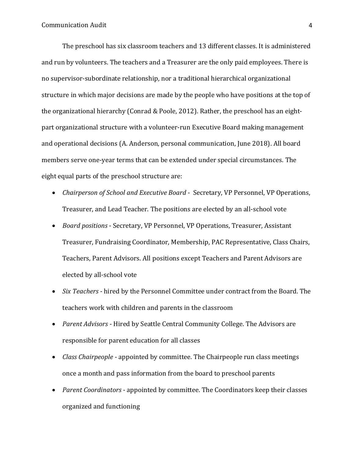The preschool has six classroom teachers and 13 different classes. It is administered and run by volunteers. The teachers and a Treasurer are the only paid employees. There is no supervisor-subordinate relationship, nor a traditional hierarchical organizational structure in which major decisions are made by the people who have positions at the top of the organizational hierarchy (Conrad & Poole, 2012). Rather, the preschool has an eightpart organizational structure with a volunteer-run Executive Board making management and operational decisions (A. Anderson, personal communication, June 2018). All board members serve one-year terms that can be extended under special circumstances. The eight equal parts of the preschool structure are:

- *Chairperson of School and Executive Board* Secretary, VP Personnel, VP Operations, Treasurer, and Lead Teacher. The positions are elected by an all-school vote
- *Board positions* Secretary, VP Personnel, VP Operations, Treasurer, Assistant Treasurer, Fundraising Coordinator, Membership, PAC Representative, Class Chairs, Teachers, Parent Advisors. All positions except Teachers and Parent Advisors are elected by all-school vote
- *Six Teachers* hired by the Personnel Committee under contract from the Board. The teachers work with children and parents in the classroom
- *Parent Advisors* Hired by Seattle Central Community College. The Advisors are responsible for parent education for all classes
- *Class Chairpeople* appointed by committee. The Chairpeople run class meetings once a month and pass information from the board to preschool parents
- *Parent Coordinators* appointed by committee. The Coordinators keep their classes organized and functioning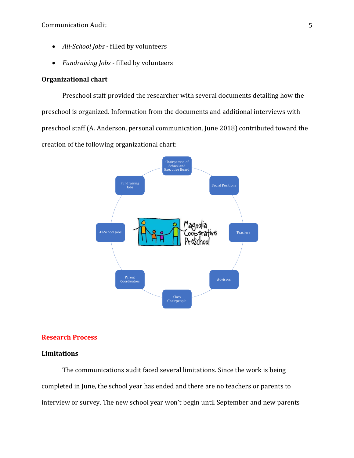- *All-School Jobs* filled by volunteers
- *Fundraising Jobs*  filled by volunteers

### **Organizational chart**

Preschool staff provided the researcher with several documents detailing how the preschool is organized. Information from the documents and additional interviews with preschool staff (A. Anderson, personal communication, June 2018) contributed toward the creation of the following organizational chart:



### **Research Process**

### **Limitations**

The communications audit faced several limitations. Since the work is being completed in June, the school year has ended and there are no teachers or parents to interview or survey. The new school year won't begin until September and new parents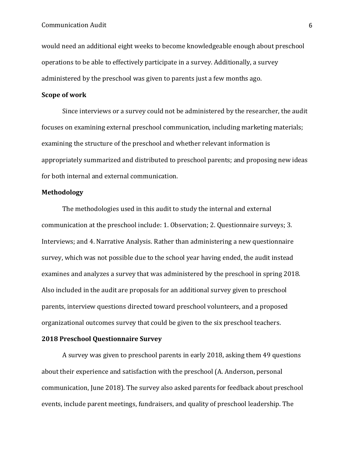would need an additional eight weeks to become knowledgeable enough about preschool operations to be able to effectively participate in a survey. Additionally, a survey administered by the preschool was given to parents just a few months ago.

#### **Scope of work**

Since interviews or a survey could not be administered by the researcher, the audit focuses on examining external preschool communication, including marketing materials; examining the structure of the preschool and whether relevant information is appropriately summarized and distributed to preschool parents; and proposing new ideas for both internal and external communication.

### **Methodology**

The methodologies used in this audit to study the internal and external communication at the preschool include: 1. Observation; 2. Questionnaire surveys; 3. Interviews; and 4. Narrative Analysis. Rather than administering a new questionnaire survey, which was not possible due to the school year having ended, the audit instead examines and analyzes a survey that was administered by the preschool in spring 2018. Also included in the audit are proposals for an additional survey given to preschool parents, interview questions directed toward preschool volunteers, and a proposed organizational outcomes survey that could be given to the six preschool teachers.

## **2018 Preschool Questionnaire Survey**

A survey was given to preschool parents in early 2018, asking them 49 questions about their experience and satisfaction with the preschool (A. Anderson, personal communication, June 2018). The survey also asked parents for feedback about preschool events, include parent meetings, fundraisers, and quality of preschool leadership. The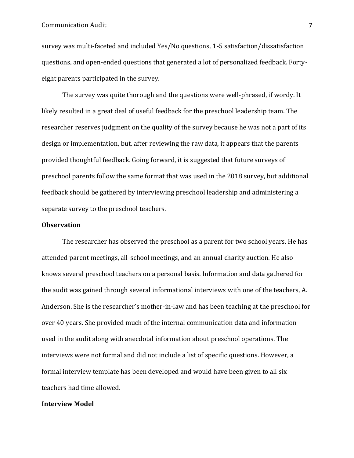#### **Communication Audit** 7

survey was multi-faceted and included Yes/No questions, 1-5 satisfaction/dissatisfaction questions, and open-ended questions that generated a lot of personalized feedback. Fortyeight parents participated in the survey.

The survey was quite thorough and the questions were well-phrased, if wordy. It likely resulted in a great deal of useful feedback for the preschool leadership team. The researcher reserves judgment on the quality of the survey because he was not a part of its design or implementation, but, after reviewing the raw data, it appears that the parents provided thoughtful feedback. Going forward, it is suggested that future surveys of preschool parents follow the same format that was used in the 2018 survey, but additional feedback should be gathered by interviewing preschool leadership and administering a separate survey to the preschool teachers.

#### **Observation**

The researcher has observed the preschool as a parent for two school years. He has attended parent meetings, all-school meetings, and an annual charity auction. He also knows several preschool teachers on a personal basis. Information and data gathered for the audit was gained through several informational interviews with one of the teachers, A. Anderson. She is the researcher's mother-in-law and has been teaching at the preschool for over 40 years. She provided much of the internal communication data and information used in the audit along with anecdotal information about preschool operations. The interviews were not formal and did not include a list of specific questions. However, a formal interview template has been developed and would have been given to all six teachers had time allowed.

### **Interview Model**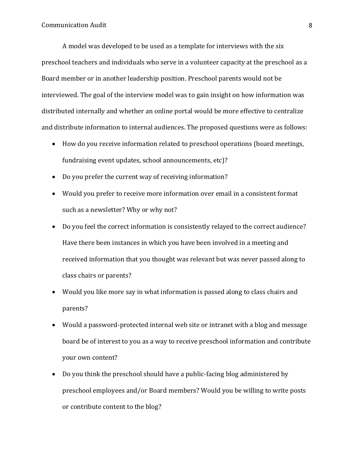A model was developed to be used as a template for interviews with the six preschool teachers and individuals who serve in a volunteer capacity at the preschool as a Board member or in another leadership position. Preschool parents would not be interviewed. The goal of the interview model was to gain insight on how information was distributed internally and whether an online portal would be more effective to centralize and distribute information to internal audiences. The proposed questions were as follows:

- How do you receive information related to preschool operations (board meetings, fundraising event updates, school announcements, etc)?
- Do you prefer the current way of receiving information?
- Would you prefer to receive more information over email in a consistent format such as a newsletter? Why or why not?
- Do you feel the correct information is consistently relayed to the correct audience? Have there been instances in which you have been involved in a meeting and received information that you thought was relevant but was never passed along to class chairs or parents?
- Would you like more say in what information is passed along to class chairs and parents?
- Would a password-protected internal web site or intranet with a blog and message board be of interest to you as a way to receive preschool information and contribute your own content?
- Do you think the preschool should have a public-facing blog administered by preschool employees and/or Board members? Would you be willing to write posts or contribute content to the blog?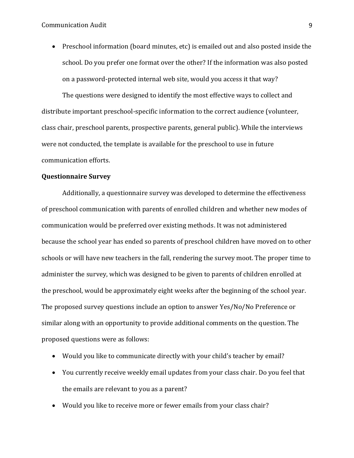Communication Audit 9

• Preschool information (board minutes, etc) is emailed out and also posted inside the school. Do you prefer one format over the other? If the information was also posted on a password-protected internal web site, would you access it that way?

The questions were designed to identify the most effective ways to collect and distribute important preschool-specific information to the correct audience (volunteer, class chair, preschool parents, prospective parents, general public). While the interviews were not conducted, the template is available for the preschool to use in future communication efforts.

#### **Questionnaire Survey**

Additionally, a questionnaire survey was developed to determine the effectiveness of preschool communication with parents of enrolled children and whether new modes of communication would be preferred over existing methods. It was not administered because the school year has ended so parents of preschool children have moved on to other schools or will have new teachers in the fall, rendering the survey moot. The proper time to administer the survey, which was designed to be given to parents of children enrolled at the preschool, would be approximately eight weeks after the beginning of the school year. The proposed survey questions include an option to answer Yes/No/No Preference or similar along with an opportunity to provide additional comments on the question. The proposed questions were as follows:

- Would you like to communicate directly with your child's teacher by email?
- You currently receive weekly email updates from your class chair. Do you feel that the emails are relevant to you as a parent?
- Would you like to receive more or fewer emails from your class chair?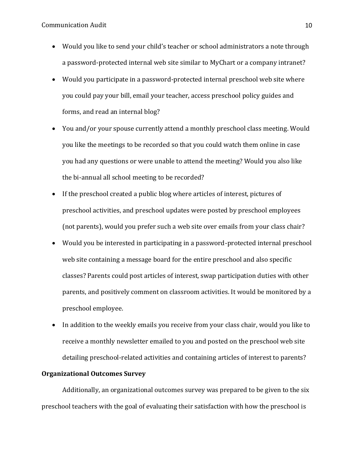- Would you like to send your child's teacher or school administrators a note through a password-protected internal web site similar to MyChart or a company intranet?
- Would you participate in a password-protected internal preschool web site where you could pay your bill, email your teacher, access preschool policy guides and forms, and read an internal blog?
- You and/or your spouse currently attend a monthly preschool class meeting. Would you like the meetings to be recorded so that you could watch them online in case you had any questions or were unable to attend the meeting? Would you also like the bi-annual all school meeting to be recorded?
- If the preschool created a public blog where articles of interest, pictures of preschool activities, and preschool updates were posted by preschool employees (not parents), would you prefer such a web site over emails from your class chair?
- Would you be interested in participating in a password-protected internal preschool web site containing a message board for the entire preschool and also specific classes? Parents could post articles of interest, swap participation duties with other parents, and positively comment on classroom activities. It would be monitored by a preschool employee.
- In addition to the weekly emails you receive from your class chair, would you like to receive a monthly newsletter emailed to you and posted on the preschool web site detailing preschool-related activities and containing articles of interest to parents?

# **Organizational Outcomes Survey**

Additionally, an organizational outcomes survey was prepared to be given to the six preschool teachers with the goal of evaluating their satisfaction with how the preschool is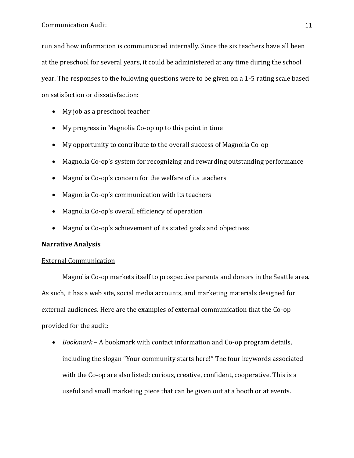run and how information is communicated internally. Since the six teachers have all been at the preschool for several years, it could be administered at any time during the school year. The responses to the following questions were to be given on a 1-5 rating scale based on satisfaction or dissatisfaction:

- My job as a preschool teacher
- My progress in Magnolia Co-op up to this point in time
- My opportunity to contribute to the overall success of Magnolia Co-op
- Magnolia Co-op's system for recognizing and rewarding outstanding performance
- Magnolia Co-op's concern for the welfare of its teachers
- Magnolia Co-op's communication with its teachers
- Magnolia Co-op's overall efficiency of operation
- Magnolia Co-op's achievement of its stated goals and objectives

# **Narrative Analysis**

#### External Communication

Magnolia Co-op markets itself to prospective parents and donors in the Seattle area. As such, it has a web site, social media accounts, and marketing materials designed for external audiences. Here are the examples of external communication that the Co-op provided for the audit:

• *Bookmark* – A bookmark with contact information and Co-op program details, including the slogan "Your community starts here!" The four keywords associated with the Co-op are also listed: curious, creative, confident, cooperative. This is a useful and small marketing piece that can be given out at a booth or at events.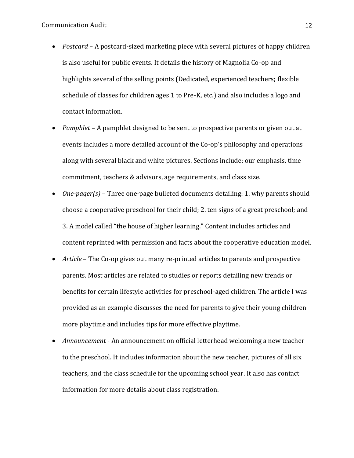- *Postcard* A postcard-sized marketing piece with several pictures of happy children is also useful for public events. It details the history of Magnolia Co-op and highlights several of the selling points (Dedicated, experienced teachers; flexible schedule of classes for children ages 1 to Pre-K, etc.) and also includes a logo and contact information.
- *Pamphlet* A pamphlet designed to be sent to prospective parents or given out at events includes a more detailed account of the Co-op's philosophy and operations along with several black and white pictures. Sections include: our emphasis, time commitment, teachers & advisors, age requirements, and class size.
- *One-pager(s)* Three one-page bulleted documents detailing: 1. why parents should choose a cooperative preschool for their child; 2. ten signs of a great preschool; and 3. A model called "the house of higher learning." Content includes articles and content reprinted with permission and facts about the cooperative education model.
- *Article* The Co-op gives out many re-printed articles to parents and prospective parents. Most articles are related to studies or reports detailing new trends or benefits for certain lifestyle activities for preschool-aged children. The article I was provided as an example discusses the need for parents to give their young children more playtime and includes tips for more effective playtime.
- *Announcement* An announcement on official letterhead welcoming a new teacher to the preschool. It includes information about the new teacher, pictures of all six teachers, and the class schedule for the upcoming school year. It also has contact information for more details about class registration.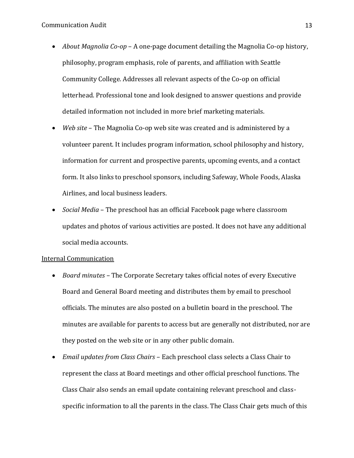- *About Magnolia Co-op* A one-page document detailing the Magnolia Co-op history, philosophy, program emphasis, role of parents, and affiliation with Seattle Community College. Addresses all relevant aspects of the Co-op on official letterhead. Professional tone and look designed to answer questions and provide detailed information not included in more brief marketing materials.
- *Web site* The Magnolia Co-op web site was created and is administered by a volunteer parent. It includes program information, school philosophy and history, information for current and prospective parents, upcoming events, and a contact form. It also links to preschool sponsors, including Safeway, Whole Foods, Alaska Airlines, and local business leaders.
- *Social Media* The preschool has an official Facebook page where classroom updates and photos of various activities are posted. It does not have any additional social media accounts.

### Internal Communication

- *Board minutes* The Corporate Secretary takes official notes of every Executive Board and General Board meeting and distributes them by email to preschool officials. The minutes are also posted on a bulletin board in the preschool. The minutes are available for parents to access but are generally not distributed, nor are they posted on the web site or in any other public domain.
- *Email updates from Class Chairs* Each preschool class selects a Class Chair to represent the class at Board meetings and other official preschool functions. The Class Chair also sends an email update containing relevant preschool and classspecific information to all the parents in the class. The Class Chair gets much of this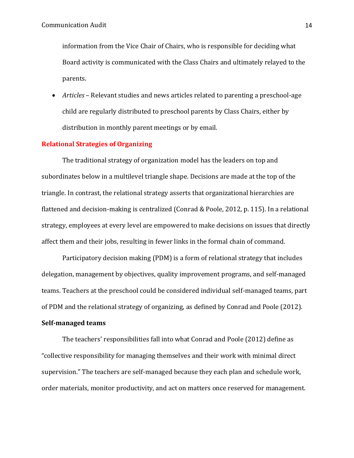information from the Vice Chair of Chairs, who is responsible for deciding what Board activity is communicated with the Class Chairs and ultimately relayed to the parents.

• *Articles* – Relevant studies and news articles related to parenting a preschool-age child are regularly distributed to preschool parents by Class Chairs, either by distribution in monthly parent meetings or by email.

### **Relational Strategies of Organizing**

The traditional strategy of organization model has the leaders on top and subordinates below in a multilevel triangle shape. Decisions are made at the top of the triangle. In contrast, the relational strategy asserts that organizational hierarchies are flattened and decision-making is centralized (Conrad & Poole, 2012, p. 115). In a relational strategy, employees at every level are empowered to make decisions on issues that directly affect them and their jobs, resulting in fewer links in the formal chain of command.

Participatory decision making (PDM) is a form of relational strategy that includes delegation, management by objectives, quality improvement programs, and self-managed teams. Teachers at the preschool could be considered individual self-managed teams, part of PDM and the relational strategy of organizing, as defined by Conrad and Poole (2012).

#### **Self-managed teams**

The teachers' responsibilities fall into what Conrad and Poole (2012) define as "collective responsibility for managing themselves and their work with minimal direct supervision." The teachers are self-managed because they each plan and schedule work, order materials, monitor productivity, and act on matters once reserved for management.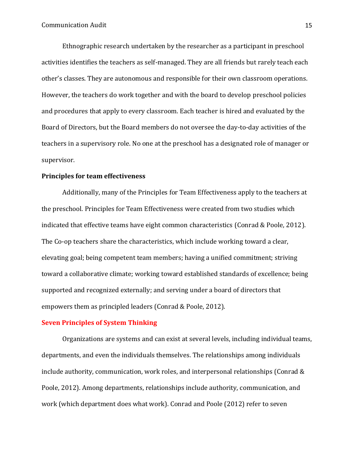Ethnographic research undertaken by the researcher as a participant in preschool activities identifies the teachers as self-managed. They are all friends but rarely teach each other's classes. They are autonomous and responsible for their own classroom operations. However, the teachers do work together and with the board to develop preschool policies and procedures that apply to every classroom. Each teacher is hired and evaluated by the Board of Directors, but the Board members do not oversee the day-to-day activities of the teachers in a supervisory role. No one at the preschool has a designated role of manager or supervisor.

### **Principles for team effectiveness**

Additionally, many of the Principles for Team Effectiveness apply to the teachers at the preschool. Principles for Team Effectiveness were created from two studies which indicated that effective teams have eight common characteristics (Conrad & Poole, 2012). The Co-op teachers share the characteristics, which include working toward a clear, elevating goal; being competent team members; having a unified commitment; striving toward a collaborative climate; working toward established standards of excellence; being supported and recognized externally; and serving under a board of directors that empowers them as principled leaders (Conrad & Poole, 2012).

### **Seven Principles of System Thinking**

Organizations are systems and can exist at several levels, including individual teams, departments, and even the individuals themselves. The relationships among individuals include authority, communication, work roles, and interpersonal relationships (Conrad & Poole, 2012). Among departments, relationships include authority, communication, and work (which department does what work). Conrad and Poole (2012) refer to seven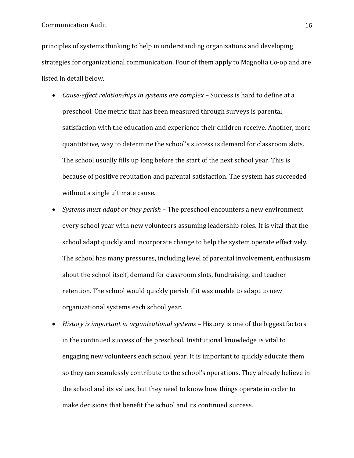principles of systems thinking to help in understanding organizations and developing strategies for organizational communication. Four of them apply to Magnolia Co-op and are listed in detail below.

- *Cause-effect relationships in systems are complex* Success is hard to define at a preschool. One metric that has been measured through surveys is parental satisfaction with the education and experience their children receive. Another, more quantitative, way to determine the school's success is demand for classroom slots. The school usually fills up long before the start of the next school year. This is because of positive reputation and parental satisfaction. The system has succeeded without a single ultimate cause.
- *Systems must adapt or they perish* The preschool encounters a new environment every school year with new volunteers assuming leadership roles. It is vital that the school adapt quickly and incorporate change to help the system operate effectively. The school has many pressures, including level of parental involvement, enthusiasm about the school itself, demand for classroom slots, fundraising, and teacher retention. The school would quickly perish if it was unable to adapt to new organizational systems each school year.
- *History is important in organizational systems* History is one of the biggest factors in the continued success of the preschool. Institutional knowledge is vital to engaging new volunteers each school year. It is important to quickly educate them so they can seamlessly contribute to the school's operations. They already believe in the school and its values, but they need to know how things operate in order to make decisions that benefit the school and its continued success.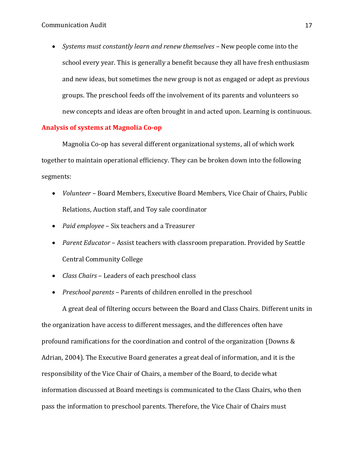• *Systems must constantly learn and renew themselves* – New people come into the school every year. This is generally a benefit because they all have fresh enthusiasm and new ideas, but sometimes the new group is not as engaged or adept as previous groups. The preschool feeds off the involvement of its parents and volunteers so new concepts and ideas are often brought in and acted upon. Learning is continuous.

# **Analysis of systems at Magnolia Co-op**

Magnolia Co-op has several different organizational systems, all of which work together to maintain operational efficiency. They can be broken down into the following segments:

- *Volunteer* Board Members, Executive Board Members, Vice Chair of Chairs, Public Relations, Auction staff, and Toy sale coordinator
- *Paid employee* Six teachers and a Treasurer
- *Parent Educator* Assist teachers with classroom preparation. Provided by Seattle Central Community College
- *Class Chairs* Leaders of each preschool class
- *Preschool parents* Parents of children enrolled in the preschool

A great deal of filtering occurs between the Board and Class Chairs. Different units in the organization have access to different messages, and the differences often have profound ramifications for the coordination and control of the organization (Downs & Adrian, 2004). The Executive Board generates a great deal of information, and it is the responsibility of the Vice Chair of Chairs, a member of the Board, to decide what information discussed at Board meetings is communicated to the Class Chairs, who then pass the information to preschool parents. Therefore, the Vice Chair of Chairs must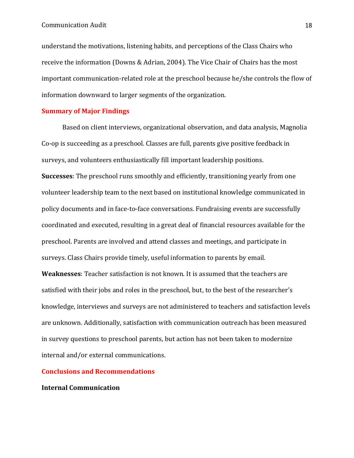understand the motivations, listening habits, and perceptions of the Class Chairs who receive the information (Downs & Adrian, 2004). The Vice Chair of Chairs has the most important communication-related role at the preschool because he/she controls the flow of information downward to larger segments of the organization.

### **Summary of Major Findings**

Based on client interviews, organizational observation, and data analysis, Magnolia Co-op is succeeding as a preschool. Classes are full, parents give positive feedback in surveys, and volunteers enthusiastically fill important leadership positions. **Successes**: The preschool runs smoothly and efficiently, transitioning yearly from one volunteer leadership team to the next based on institutional knowledge communicated in policy documents and in face-to-face conversations. Fundraising events are successfully coordinated and executed, resulting in a great deal of financial resources available for the preschool. Parents are involved and attend classes and meetings, and participate in surveys. Class Chairs provide timely, useful information to parents by email.

**Weaknesses**: Teacher satisfaction is not known. It is assumed that the teachers are satisfied with their jobs and roles in the preschool, but, to the best of the researcher's knowledge, interviews and surveys are not administered to teachers and satisfaction levels are unknown. Additionally, satisfaction with communication outreach has been measured in survey questions to preschool parents, but action has not been taken to modernize internal and/or external communications.

#### **Conclusions and Recommendations**

#### **Internal Communication**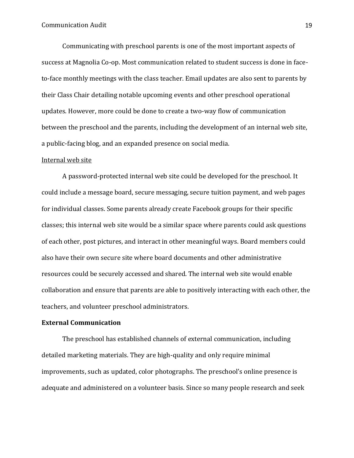Communicating with preschool parents is one of the most important aspects of success at Magnolia Co-op. Most communication related to student success is done in faceto-face monthly meetings with the class teacher. Email updates are also sent to parents by their Class Chair detailing notable upcoming events and other preschool operational updates. However, more could be done to create a two-way flow of communication between the preschool and the parents, including the development of an internal web site, a public-facing blog, and an expanded presence on social media.

### Internal web site

A password-protected internal web site could be developed for the preschool. It could include a message board, secure messaging, secure tuition payment, and web pages for individual classes. Some parents already create Facebook groups for their specific classes; this internal web site would be a similar space where parents could ask questions of each other, post pictures, and interact in other meaningful ways. Board members could also have their own secure site where board documents and other administrative resources could be securely accessed and shared. The internal web site would enable collaboration and ensure that parents are able to positively interacting with each other, the teachers, and volunteer preschool administrators.

# **External Communication**

The preschool has established channels of external communication, including detailed marketing materials. They are high-quality and only require minimal improvements, such as updated, color photographs. The preschool's online presence is adequate and administered on a volunteer basis. Since so many people research and seek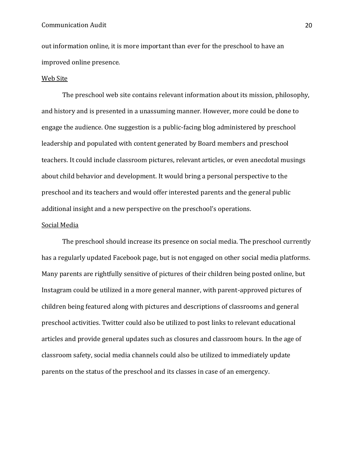#### Communication Audit 20

out information online, it is more important than ever for the preschool to have an improved online presence.

#### Web Site

The preschool web site contains relevant information about its mission, philosophy, and history and is presented in a unassuming manner. However, more could be done to engage the audience. One suggestion is a public-facing blog administered by preschool leadership and populated with content generated by Board members and preschool teachers. It could include classroom pictures, relevant articles, or even anecdotal musings about child behavior and development. It would bring a personal perspective to the preschool and its teachers and would offer interested parents and the general public additional insight and a new perspective on the preschool's operations.

#### Social Media

The preschool should increase its presence on social media. The preschool currently has a regularly updated Facebook page, but is not engaged on other social media platforms. Many parents are rightfully sensitive of pictures of their children being posted online, but Instagram could be utilized in a more general manner, with parent-approved pictures of children being featured along with pictures and descriptions of classrooms and general preschool activities. Twitter could also be utilized to post links to relevant educational articles and provide general updates such as closures and classroom hours. In the age of classroom safety, social media channels could also be utilized to immediately update parents on the status of the preschool and its classes in case of an emergency.